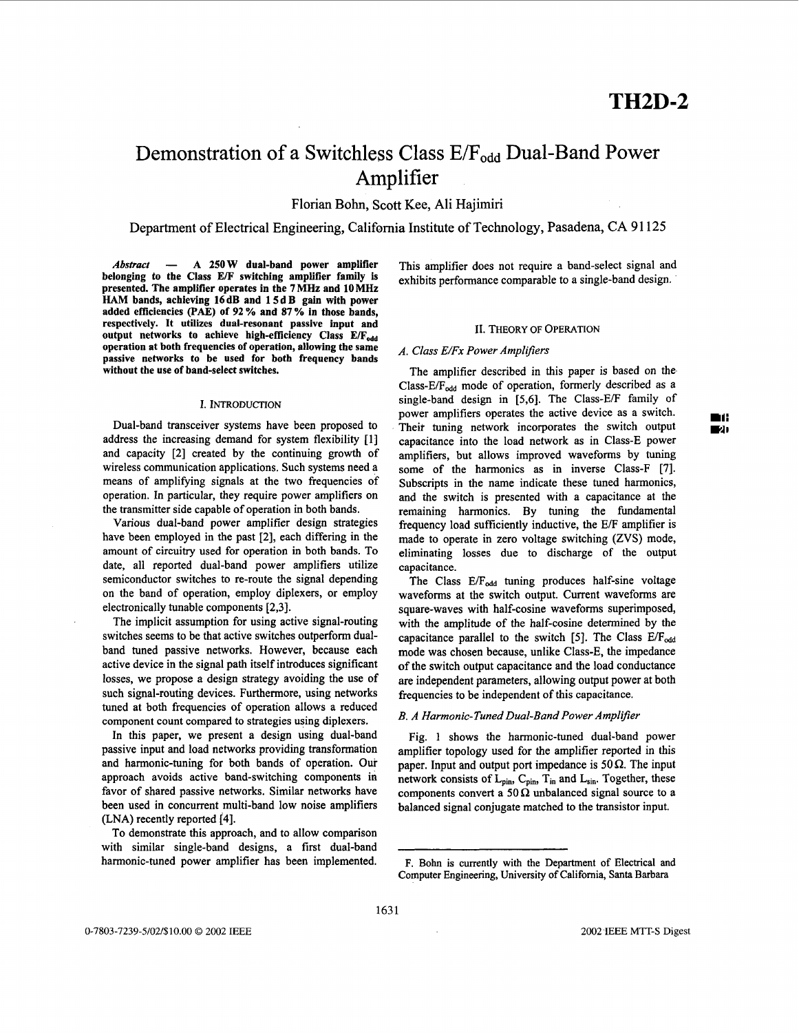# Demonstration of a Switchless Class E/F<sub>odd</sub> Dual-Band Power Amplifier

Florian Bohn, Scott Kee, Ali Hajimiri

Department of Electrical Engineering, California Institute of Technology, Pasadena, CA 91125

*Abstruct* - **A 250 W dual-band power amplifier belonging to the Class E/F switching amplifier family is presented. The amplifier operates in the 7 MHz and 10 MHz**  HAM **bands, achieving 16 dB and 1 5 d B gain with power added efficiencies (PAE) of 92** *70* **and 87** % **in those bands, respectively. It utilizes dual-resonant passive input and**  output networks to achieve high-efficiency Class E/F<sub>odd</sub> **operation at both frequencies of operation, allowing the same passive networks to be used for both frequency bands without the use of band-select switches.** 

## I. INTRODUCTION

Dual-band transceiver systems have been proposed to address the increasing demand for system flexibility [l] and capacity **[2]** created by the continuing growth of wireless communication applications. Such systems need a means of amplifying signals at the two frequencies of operation. In particular, they require power amplifiers on the transmitter side capable of operation in both bands.

Various dual-band power amplifier design strategies have been employed in the past **[2],** each differing in the amount of circuitry used for operation in both bands. To date, all reported dual-band power amplifiers utilize semiconductor switches to re-route the signal depending on the band of operation, employ diplexers, or employ electronically tunable components **[2,3].** 

The implicit assumption for using active signal-routing switches seems to be that active switches outperform dualband tuned passive networks. However, because each active device in the signal path itself introduces significant losses, we propose a design strategy avoiding the use **of**  such signal-routing devices. Furthermore, using networks tuned at both frequencies of operation allows a reduced component count compared to strategies using diplexers.

In this paper, we present a design using dual-band passive input and load networks providing transformation and harmonic-tuning for both bands of operation. **Our**  approach avoids active band-switching components in favor of shared passive networks. Similar networks have been used in concurrent multi-band low noise amplifiers **(LNA)** recently reported **[4].** 

To demonstrate this approach, and to allow comparison with similar single-band designs, a first dual-band harmonic-tuned power amplifier has been implemented. This amplifier does not require a band-select signal and exhibits performance comparable to a single-band design.

#### **11.** THEORY OF OPERATION

#### *A. Class E/Fx Power Amplifiers*

The amplifier described in this paper is based on the, Class-E/ $F_{odd}$  mode of operation, formerly described as a single-band design in [5,6]. The Class-E/F family of Theit tuning network incorporates the switch output capacitance into the load network as in Class-E power amplifiers, but allows improved waveforms by tuning some of the harmonics as in inverse Class-F **[7].**  Subscripts in the name indicate these tuned harmonics, and the switch is presented with a capacitance at the remaining harmonics. By tuning the fundamental frequency load sufficiently inductive, the E/F amplifier is made to operate in zero voltage switching **(ZVS)** mode, eliminating losses due to discharge of the output capacitance. power amplifiers operates the active device as a switch. **mi:** 

The Class  $E/F_{odd}$  tuning produces half-sine voltage waveforms at the switch output. Current waveforms are square-waves with half-cosine waveforms superimposed, with the amplitude of the half-cosine determined by the capacitance parallel to the switch [5]. The Class E/F<sub>odd</sub> mode was chosen because, unlike Class-E, the impedance of the switch output capacitance and the load conductance are independent parameters, allowing output power at both frequencies to be independent of this capacitance.

### *3. A Harmonic-Tuned Dual-Band Power Amplifier*

[Fig. 1](#page-1-0) shows the harmonic-tuned dual-band power amplifier topology used for the amplifier reported in this paper. Input and output port impedance is  $50 \Omega$ . The input network consists of  $L_{pin}$ ,  $C_{pin}$ ,  $T_{in}$  and  $L_{sin}$ . Together, these components convert a 50  $\Omega$  unbalanced signal source to a balanced signal conjugate matched to the transistor input.

*FA,* 

F. Bohn is currently with the Department of Electrical and Computer Engineering, University of Califomia, **Santa Barbara**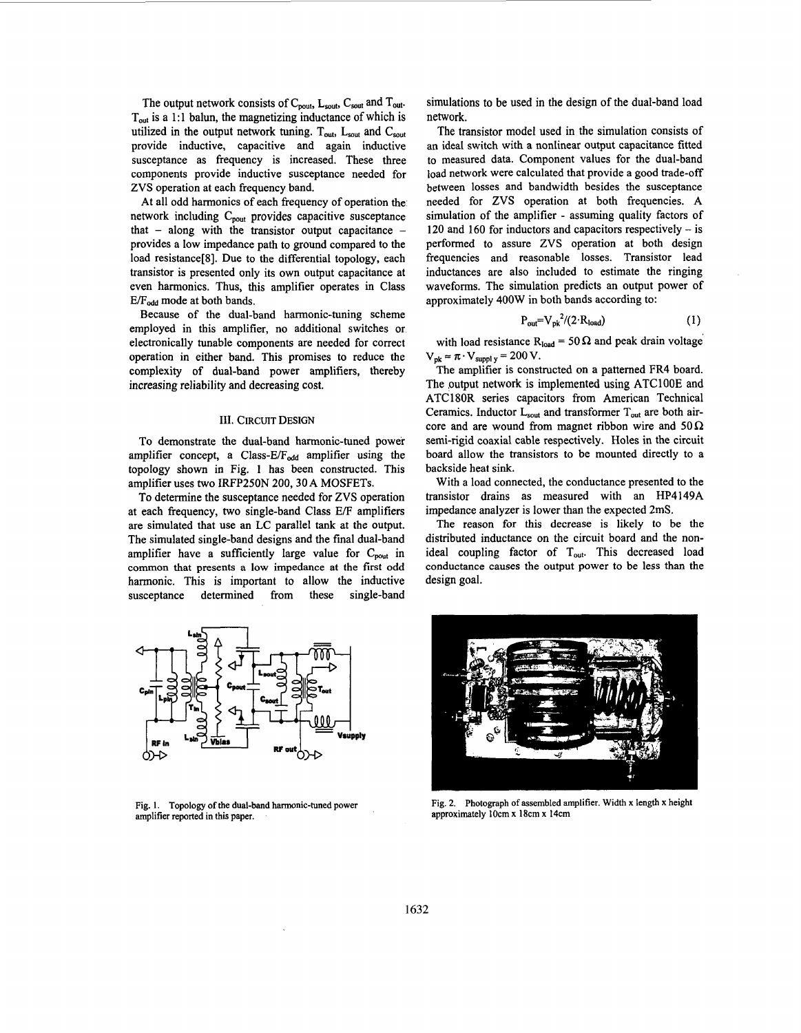<span id="page-1-0"></span>The output network consists of C<sub>pout</sub>, L<sub>sout</sub>, C<sub>sout</sub> and T<sub>out</sub>.  $T<sub>out</sub>$  is a 1:1 balun, the magnetizing inductance of which is utilized in the output network tuning.  $T_{out}$ ,  $L_{sout}$  and  $C_{sout}$ provide inductive, capacitive and again inductive susceptance as frequency is increased. These three components provide inductive susceptance needed for ZVS operation at each frequency band.

At all odd harmonics of each frequency of operation the network including  $C_{\text{vout}}$  provides capacitive susceptance that  $-$  along with the transistor output capacitance  $$ provides a low impedance path to ground compared to the load resistance<sup>[8]</sup>. Due to the differential topology, each transistor is presented only its own output capacitance at even harmonics. Thus, this amplifier operates in Class  $E/F_{odd}$  mode at both bands.

Because of the dual-band harmonic-tuning scheme employed in this amplifier, no additional switches or electronically tunable components are needed for correct operation in either band. This promises to reduce the complexity of dual-band power amplifiers, thereby increasing reliability and decreasing cost.

#### 111. CIRCUIT DESIGN

To demonstrate the dual-band harmonic-tuned power amplifier concept, a Class- $E/F_{odd}$  amplifier using the topology shown in Fig. **1** has been constructed. This amplifier uses two **IRFP250N 200,30A** MOSFETs.

To determine the susceptance needed for ZVS operation at each frequency, two single-band Class E/F amplifiers are simulated that use **an** LC parallel tank at the output. The simulated single-band designs and the final dual-band amplifier have a sufficiently large value for  $C_{\text{pout}}$  in common that presents **a** low impedance at the first odd harmonic. This is important to allow the inductive susceptance determined from these single-band



**Fig. 1. Topology of the dual-band harmonic-tuned power amplifier reported in this paper.** 

simulations to be used in the design of the dual-band load network.

The transistor model used in the simulation consists of an ideal switch with a nonlinear output capacitance fitted to measured data. Component values for the dual-band load network were calculated that provide a good trade-off between losses and bandwidth besides the susceptance needed for ZVS operation at both frequencies. **A**  simulation of the amplifier - assuming quality factors of 120 and 160 for inductors and capacitors respectively - is performed to assure ZVS operation at both design frequencies and reasonable losses. Transistor lead inductances are also included to estimate the ringing waveforms. The simulation predicts an output power of approximately 400W in both bands according to:

$$
P_{out} = V_{pk}^{2}/(2 \cdot R_{load})
$$
 (1)

with load resistance  $R_{load} = 50 \Omega$  and peak drain voltage  $V_{pk} \approx \pi \cdot V_{suppl}$  **y** = 200 V.

The amplifier is constructed on a patterned FR4 board. The output network is implemented using ATC100E and ATCl80R series capacitors from American Technical Ceramics. Inductor  $L_{sout}$  and transformer  $T_{out}$  are both aircore and are wound from magnet ribbon wire and  $50\Omega$ semi-rigid coaxial cable respectively. Holes in the circuit board allow the transistors to be mounted directly to a backside heat sink.

With a load connected, the conductance presented to the transistor drains as measured with an HP4149A impedance analyzer is lower than the expected 2mS.

The reason for this decrease is likely to be the distributed inductance on the circuit board and the nonideal coupling factor of  $T_{out}$ . This decreased load conductance causes the output power to be less than the design goal.



**Fig. 2. Photograph of assembled amplifier. Width x length x height approximately lOcm x 18cm x 14cm**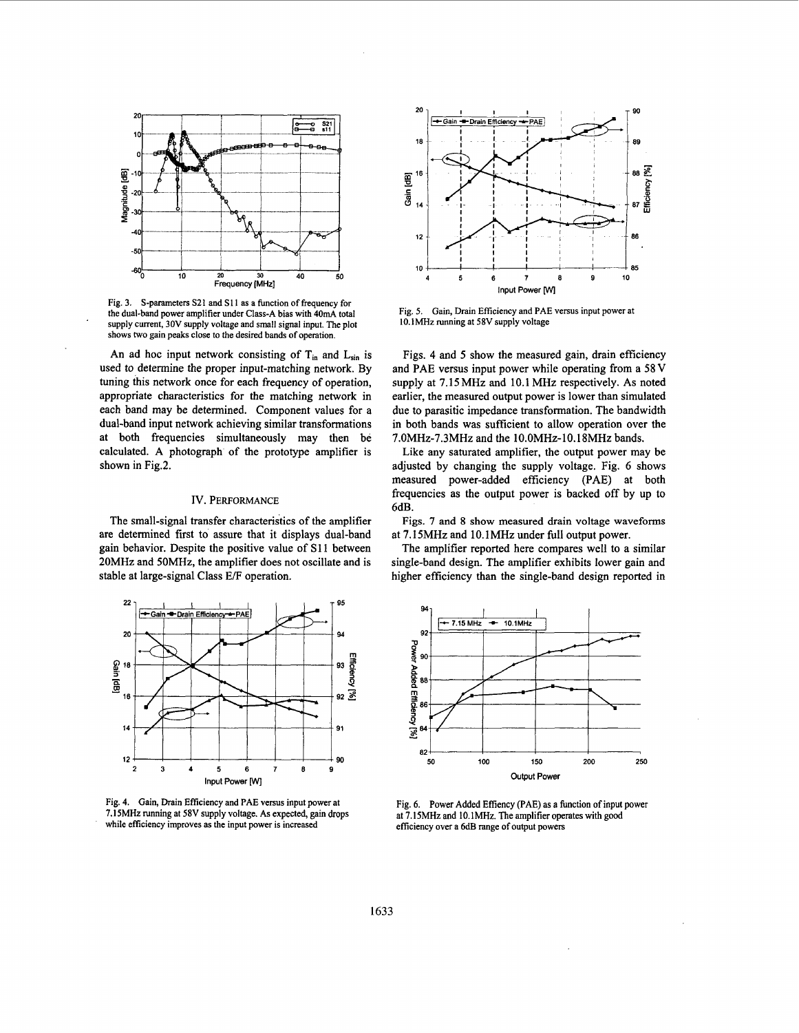

Fig. 3. S-parameters S21 and S11 **as** a function of frequency for the dual-band power amplifier under Class-A bias with **40mA** total supply current, 30V supply voltage and small signal input. The plot shows two gain peaks close to the desired bands of operation.

An ad hoc input network consisting of  $T_{in}$  and  $L_{sin}$  is used to determine the proper input-matching network. By tuning this network once for each frequency of operation, appropriate characteristics for the matching network in each band may be determined. Component values for a dual-band input network achieving similar transformations at both frequencies simultaneously may then be calculated. A photograph of the prototype amplifier is shown in Fig.2.

# IV. PERFORMANCE

The small-signal transfer characteristics of the amplifier are determined first to assure that it displays dual-band gain behavior. Despite the positive value of S11 between 20MHz and SOMHz, the amplifier does not oscillate and is stable at large-signal Class E/F operation.



Fig. **4.** Gain, Drain Efficiency and PAE versus input power at **7.15MHz** running at **58V** supply voltage. **As** expected, gain drops while efficiency improves as the input power is increased



Fig. **5.** Gain, Drain Efficiency and PAE versus input power at 10.1MHz running at **58V** supply voltage

Figs. **4** and **5** show the measured gain, drain efficiency and PAE versus input power while operating from a 58 V supply at 7.15 MHz and 10.1 MHz respectively. As noted earlier, the measured output power is lower than simulated due to parasitic impedance transformation. The bandwidth in both bands was sufficient to allow operation over the 7.OMHz-7.3MHz and the 10.OMHz-10.18MHz bands.

Like any saturated amplifier, the output power may be adjusted by changing the supply voltage. Fig. *6* shows measured power-added efficiency (PAE) at both frequencies as the output power is backed off by up to 6dB.

Figs. 7 and **8** show measured drain voltage waveforms at 7.15MHz and 10.IMHz under full output power.

The amplifier reported here compares well to a similar single-band design. The amplifier exhibits lower gain and higher efficiency than the single-band design reported in



Fig. 6. Power Added Effiency (PAE) **as** a function of input power at **7.15MHz** and **10.IMHz.** The amplifier operates with good efficiency over a 6dB range of output powers